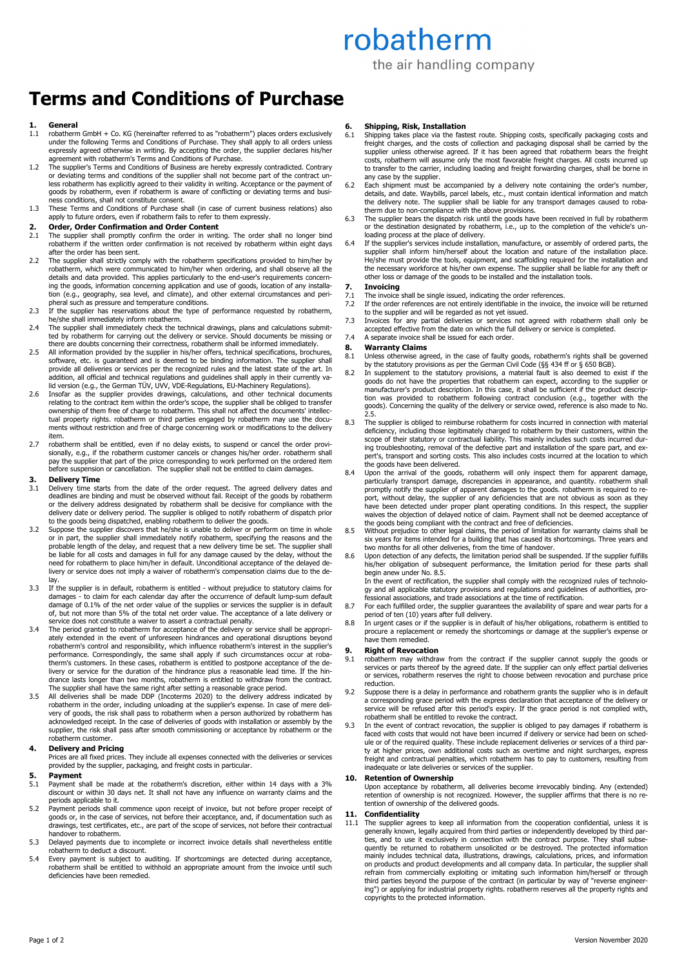# robatherm

the air handling company

# **Terms and Conditions of Purchase**

## **1. General**

- 1.1 robatherm GmbH + Co. KG (hereinafter referred to as "robatherm") places orders exclusively under the following Terms and Conditions of Purchase. They shall apply to all orders unless expressly agreed otherwise in writing. By accepting the order, the supplier declares his/her agreement with robatherm's Terms and Conditions of Purchase.
- 1.2 The supplier's Terms and Conditions of Business are hereby expressly contradicted. Contrary or deviating terms and conditions of the supplier shall not become part of the contract un-less robatherm has explicitly agreed to their validity in writing. Acceptance or the payment of goods by robatherm, even if robatherm is aware of conflicting or deviating terms and busi-ness conditions, shall not constitute consent.
- 1.3 These Terms and Conditions of Purchase shall (in case of current business relations) also apply to future orders, even if robatherm fails to refer to them expressly.

## **2. Order, Order Confirmation and Order Content 2.1** The supplier shall promptly confirm the order in writing

- The supplier shall promptly confirm the order in writing. The order shall no longer bind robatherm if the written order confirmation is not received by robatherm within eight days after the order has been sent.
- 2.2 The supplier shall strictly comply with the robatherm specifications provided to him/her by robatherm, which were communicated to him/her when ordering, and shall observe all the details and data provided. This applies particularly to the end-user's requirements concerning the goods, information concerning application and use of goods, location of any installa-tion (e.g., geography, sea level, and climate), and other external circumstances and peripheral such as pressure and temperature conditions.
- 2.3 If the supplier has reservations about the type of performance requested by robatherm, he/she shall immediately inform robatherm.
- 2.4 The supplier shall immediately check the technical drawings, plans and calculations submit-ted by robatherm for carrying out the delivery or service. Should documents be missing or
- there are doubts concerning their correctness, robatherm shall be informed immediately. 2.5 All information provided by the supplier in his/her offers, technical specifications, brochures, software, etc. is guaranteed and is deemed to be binding information. The supplier shall provide all deliveries or services per the recognized rules and the latest state of the art. In addition, all official and technical regulations and guidelines shall apply in their currently valid version (e.g., the German TÜV, UVV, VDE-Regulations, EU-Machinery Regulations).
- 2.6 Insofar as the supplier provides drawings, calculations, and other technical documents<br>relating to the contract item within the order's scope, the supplier shall be obliged to transfer<br>ownership of them free of charge tual property rights. robatherm or third parties engaged by robatherm may use the documents without restriction and free of charge concerning work or modifications to the delivery item.
- 2.7 robatherm shall be entitled, even if no delay exists, to suspend or cancel the order provisionally, e.g., if the robatherm customer cancels or changes his/her order. robatherm shall pay the supplier that part of the price corresponding to work performed on the ordered item before suspension or cancellation. The supplier shall not be entitled to claim damages

#### **3. Delivery Time**

- 3.1 Delivery time starts from the date of the order request. The agreed delivery dates and deadlines are binding and must be observed without fail. Receipt of the goods by robatherm or the delivery address designated by robatherm shall be decisive for compliance with the delivery date or delivery period. The supplier is obliged to notify robatherm of dispatch prior to the goods being dispatched, enabling robatherm to deliver the goods.
- 3.2 Suppose the supplier discovers that he/she is unable to deliver or perform on time in whole or in part, the supplier shall immediately notify robatherm, specifying the reasons and the probable length of the delay, and request that a new delivery time be set. The supplier shall be liable for all costs and damages in full for any damage caused by the delay, without the need for robatherm to place him/her in default. Unconditional acceptance of the delayed delivery or service does not imply a waiver of robatherm's compensation claims due to the delay.
- 3.3 If the supplier is in default, robatherm is entitled without prejudice to statutory claims for damages - to claim for each calendar day after the occurrence of default lump-sum default<br>damage of 0.1% of the net order value of the supplies or services the supplier is in default<br>of, but not more than 5% of the total n
- service does not constitute a waiver to assert a contractual penalty. 3.4 The period granted to robatherm for acceptance of the delivery or service shall be appropriately extended in the event of unforeseen hindrances and operational disruptions beyond robatherm's control and responsibility, which influence robatherm's interest in the supplier's performance. Correspondingly, the same shall apply if such circumstances occur at robatherm's customers. In these cases, robatherm is entitled to postpone acceptance of the delivery or service for the duration of the hindrance plus a reasonable lead time. If the hin-drance lasts longer than two months, robatherm is entitled to withdraw from the contract. The supplier shall have the same right after setting a reasonable grace period.
- 3.5 All deliveries shall be made DDP (Incoterms 2020) to the delivery address indicated by robatherm in the order, including unloading at the supplier's expense. In case of mere deli-very of goods, the risk shall pass to robatherm when a person authorized by robatherm has acknowledged receipt. In the case of deliveries of goods with installation or assembly by the supplier, the risk shall pass after smooth commissioning or acceptance by robatherm or the robatherm customer.

### **4. Delivery and Pricing**

Prices are all fixed prices. They include all expenses connected with the deliveries or services provided by the supplier, packaging, and freight costs in particular.

## **5. Payment**

- 5.1 Payment shall be made at the robatherm's discretion, either within 14 days with a 3% discount or within 30 days net. It shall not have any influence on warranty claims and the periods applicable to it.
- 5.2 Payment periods shall commence upon receipt of invoice, but not before proper receipt of goods or, in the case of services, not before their acceptance, and, if documentation such as drawings, test certificates, etc., are part of the scope of services, not before their contractual handover to robatherm.
- 5.3 Delayed payments due to incomplete or incorrect invoice details shall nevertheless entitle robatherm to deduct a discount.
- 5.4 Every payment is subject to auditing. If shortcomings are detected during acceptance, robatherm shall be entitled to withhold an appropriate amount from the invoice until such deficiencies have been remedied.

## **6. Shipping, Risk, Installation** 6.1 Shipping takes place via the fast

- 6.1 Shipping takes place via the fastest route. Shipping costs, specifically packaging costs and freight charges, and the costs of collection and packaging disposal shall be carried by the supplier unless otherwise agreed. If it has been agreed that robatherm bears the freight costs, robatherm will assume only the most favorable freight charges. All costs incurred up to transfer to the carrier, including loading and freight forwarding charges, shall be borne in any case by the supplier.
- 6.2 Each shipment must be accompanied by a delivery note containing the order's number, details, and date. Waybills, parcel labels, etc., must contain identical information and match the delivery note. The supplier shall b
- 6.3 The supplier bears the dispatch risk until the goods have been received in full by robatherm or the destination designated by robatherm, i.e., up to the completion of the vehicle's unloading process at the place of delivery.
- 6.4 If the supplier's services include installation, manufacture, or assembly of ordered parts, the supplier shall inform him/herself about the location and nature of the installation place. He/she must provide the tools, equipment, and scaffolding required for the installation and the necessary workforce at his/her own expense. The supplier shall be liable for any theft or other loss or damage of the goods to be installed and the installation tools.

## **7. Invoicing**

- The invoice shall be single issued, indicating the order references.
- 7.2 If the order references are not entirely identifiable in the invoice, the invoice will be returned to the supplier and will be regarded as not yet issued.
- 7.3 Invoices for any partial deliveries or services not agreed with robatherm shall only be accepted effective from the date on which the full delivery or service is completed.
- 7.4 A separate invoice shall be issued for each order.

## **8. Warranty Claims**

- 8.1 Unless otherwise agreed, in the case of faulty goods, robatherm's rights shall be governed by the statutory provisions as per the German Civil Code (§§ 434 ff or § 650 BGB).
- 8.2 In supplement to the statutory provisions, a material fault is also deemed to exist if the goods do not have the properties that robatherm can expect, according to the supplier or manufacturer's product description. In this case, it shall be sufficient if the product description was provided to robatherm following contract conclusion (e.g., together with the goods). Concerning the quality of the delivery or service owed, reference is also made to No. 2.5.
- 8.3 The supplier is obliged to reimburse robatherm for costs incurred in connection with material deficiency, including those legitimately charged to robatherm by their customers, within the scope of their statutory or contractual liability. This mainly includes such costs incurred during troubleshooting, removal of the defective part and installation of the spare part, and expert's, transport and sorting costs. This also includes costs incurred at the location to which the goods have been delivered.
- 8.4 Upon the arrival of the goods, robatherm will only inspect them for apparent damage, particularly transport damage, discrepancies in appearance, and quantity. robatherm shall<br>promptly notify the supplier of apparent damages to the goods. robatherm is required to re-<br>port, without celay, the supplier of any
- 8.5 Without prejudice to other legal claims, the period of limitation for warranty claims shall be six years for items intended for a building that has caused its shortcomings. Three years and two months for all other deliveries, from the time of handover.
- 8.6 Upon detection of any defects, the limitation period shall be suspended. If the supplier fulfills his/her obligation of subsequent performance, the limitation period for these parts shall begin anew under No. 8.5. In the event of rectification, the supplier shall comply with the recognized rules of technolo-

gy and all applicable statutory provisions and regulations and guidelines of authorities, pro-fessional associations, and trade associations at the time of rectification.

- 8.7 For each fulfilled order, the supplier guarantees the availability of spare and wear parts for a period of ten (10) years after full delivery. 8.8 In urgent cases or if the supplier is in default of his/her obligations, robatherm is entitled to
- procure a replacement or remedy the shortcomings or damage at the supplier's expense or have them remedied.

#### **9. Right of Revocation**

- 9.1 robatherm may withdraw from the contract if the supplier cannot supply the goods or services or parts thereof by the agreed date. If the supplier can only effect partial deliveries or services, robatherm reserves the right to choose between revocation and purchase price reduction.
- 9.2 Suppose there is a delay in performance and robatherm grants the supplier who is in default a corresponding grace period with the express declaration that acceptance of the delivery or service will be refused after this period's expiry. If the grace period is not complied with, robatherm shall be entitled to revoke the contract.
- 9.3 In the event of contract revocation, the supplier is obliged to pay damages if robatherm is faced with costs that would not have been incurred if delivery or service had been on schedule or of the required quality. These include replacement deliveries or services of a third party at higher prices, own additional costs such as overtime and night surcharges, express freight and contractual penalties, which robatherm has to pay to customers, resulting from inadequate or late deliveries or services of the supplier.

### **10. Retention of Ownership**

Upon acceptance by robatherm, all deliveries become irrevocably binding. Any (extended) retention of ownership is not recognized. However, the supplier affirms that there is no retention of ownership of the delivered goods.

**11. Confidentiality**  11.1 The supplier agrees to keep all information from the cooperation confidential, unless it is generally known, legally acquired from third parties or independently developed by third parties, and to use it exclusively in connection with the contract purpose. They shall subse-quently be returned to robatherm unsolicited or be destroyed. The protected information mainly includes technical data, illustrations, drawings, calculations, prices, and information on products and product developments and all company data. In particular, the supplier shall refrain from commercially exploiting or imitating such information him/herself or through third parties beyond the purpose of the contract (in particular by way of "reverse engineering") or applying for industrial property rights. robatherm reserves all the property rights and copyrights to the protected information.